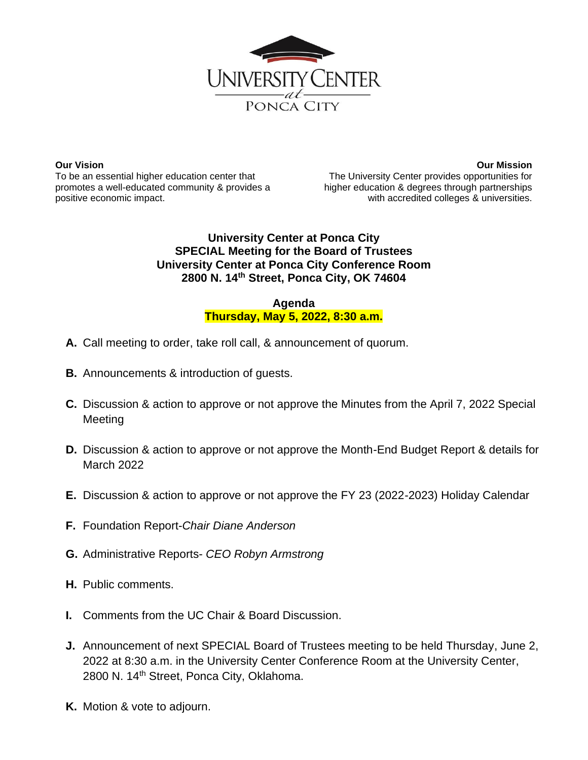

**Our Vision** To be an essential higher education center that promotes a well-educated community & provides a positive economic impact.

**Our Mission** The University Center provides opportunities for higher education & degrees through partnerships with accredited colleges & universities.

## **University Center at Ponca City SPECIAL Meeting for the Board of Trustees University Center at Ponca City Conference Room 2800 N. 14th Street, Ponca City, OK 74604**

## **Agenda Thursday, May 5, 2022, 8:30 a.m.**

- **A.** Call meeting to order, take roll call, & announcement of quorum.
- **B.** Announcements & introduction of guests.
- **C.** Discussion & action to approve or not approve the Minutes from the April 7, 2022 Special **Meeting**
- **D.** Discussion & action to approve or not approve the Month-End Budget Report & details for March 2022
- **E.** Discussion & action to approve or not approve the FY 23 (2022-2023) Holiday Calendar
- **F.** Foundation Report-*Chair Diane Anderson*
- **G.** Administrative Reports- *CEO Robyn Armstrong*
- **H.** Public comments.
- **I.** Comments from the UC Chair & Board Discussion.
- **J.** Announcement of next SPECIAL Board of Trustees meeting to be held Thursday, June 2, 2022 at 8:30 a.m. in the University Center Conference Room at the University Center, 2800 N. 14<sup>th</sup> Street, Ponca City, Oklahoma.
- **K.** Motion & vote to adjourn.